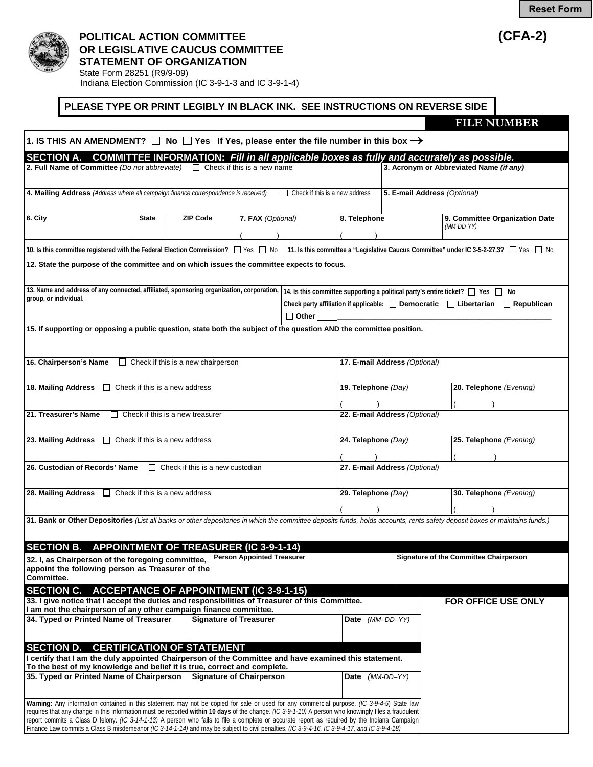## **POLITICAL ACTION COMMITTEE (CFA-2) OR LEGISLATIVE CAUCUS COMMITTEE STATEMENT OF ORGANIZATION**

State Form 28251 (R9/9-09) Indiana Election Commission (IC 3-9-1-3 and IC 3-9-1-4)

## **PLEASE TYPE OR PRINT LEGIBLY IN BLACK INK. SEE INSTRUCTIONS ON REVERSE SIDE**

|                                                                                                                                                                                                                                                                                                                                                                                                                                                                                                                                                                                                  |                                                      |                                   |                                                                                                                                                                              |                                                                                                                                                                                           |                                               |  | <b>FILE NUMBER</b>                                                                                                                                                          |  |  |
|--------------------------------------------------------------------------------------------------------------------------------------------------------------------------------------------------------------------------------------------------------------------------------------------------------------------------------------------------------------------------------------------------------------------------------------------------------------------------------------------------------------------------------------------------------------------------------------------------|------------------------------------------------------|-----------------------------------|------------------------------------------------------------------------------------------------------------------------------------------------------------------------------|-------------------------------------------------------------------------------------------------------------------------------------------------------------------------------------------|-----------------------------------------------|--|-----------------------------------------------------------------------------------------------------------------------------------------------------------------------------|--|--|
| 1. IS THIS AN AMENDMENT? $\Box$ No $\Box$ Yes If Yes, please enter the file number in this box $\rightarrow$                                                                                                                                                                                                                                                                                                                                                                                                                                                                                     |                                                      |                                   |                                                                                                                                                                              |                                                                                                                                                                                           |                                               |  |                                                                                                                                                                             |  |  |
| <b>SECTION A.</b>                                                                                                                                                                                                                                                                                                                                                                                                                                                                                                                                                                                |                                                      |                                   |                                                                                                                                                                              |                                                                                                                                                                                           |                                               |  | <b>COMMITTEE INFORMATION: Fill in all applicable boxes as fully and accurately as possible.</b>                                                                             |  |  |
| 2. Full Name of Committee (Do not abbreviate) $\Box$ Check if this is a new name                                                                                                                                                                                                                                                                                                                                                                                                                                                                                                                 |                                                      |                                   |                                                                                                                                                                              |                                                                                                                                                                                           |                                               |  | 3. Acronym or Abbreviated Name (if any)                                                                                                                                     |  |  |
| 4. Mailing Address (Address where all campaign finance correspondence is received)                                                                                                                                                                                                                                                                                                                                                                                                                                                                                                               |                                                      |                                   |                                                                                                                                                                              | $\Box$ Check if this is a new address                                                                                                                                                     |                                               |  | 5. E-mail Address (Optional)                                                                                                                                                |  |  |
| 6. City                                                                                                                                                                                                                                                                                                                                                                                                                                                                                                                                                                                          | <b>State</b><br><b>ZIP Code</b><br>7. FAX (Optional) |                                   |                                                                                                                                                                              |                                                                                                                                                                                           | 8. Telephone                                  |  | 9. Committee Organization Date<br>$(MM\text{-}DD\text{-}YY)$                                                                                                                |  |  |
|                                                                                                                                                                                                                                                                                                                                                                                                                                                                                                                                                                                                  |                                                      |                                   | 10. Is this committee registered with the Federal Election Commission? [/ Yes   No   11. Is this committee a "Legislative Caucus Committee" under IC 3-5-2-27.3? [/ Yes   No |                                                                                                                                                                                           |                                               |  |                                                                                                                                                                             |  |  |
| 12. State the purpose of the committee and on which issues the committee expects to focus.                                                                                                                                                                                                                                                                                                                                                                                                                                                                                                       |                                                      |                                   |                                                                                                                                                                              |                                                                                                                                                                                           |                                               |  |                                                                                                                                                                             |  |  |
| 13. Name and address of any connected, affiliated, sponsoring organization, corporation,<br>group, or individual.                                                                                                                                                                                                                                                                                                                                                                                                                                                                                |                                                      |                                   |                                                                                                                                                                              | 14. Is this committee supporting a political party's entire ticket? $\Box$ Yes $\Box$ No<br>Check party affiliation if applicable: $\Box$ Democratic $\Box$ Libertarian $\Box$ Republican |                                               |  |                                                                                                                                                                             |  |  |
| 15. If supporting or opposing a public question, state both the subject of the question AND the committee position.                                                                                                                                                                                                                                                                                                                                                                                                                                                                              |                                                      |                                   |                                                                                                                                                                              |                                                                                                                                                                                           |                                               |  |                                                                                                                                                                             |  |  |
| 16. Chairperson's Name<br>$\Box$ Check if this is a new chairperson                                                                                                                                                                                                                                                                                                                                                                                                                                                                                                                              |                                                      |                                   |                                                                                                                                                                              |                                                                                                                                                                                           | 17. E-mail Address (Optional)                 |  |                                                                                                                                                                             |  |  |
| 18. Mailing Address $\Box$ Check if this is a new address                                                                                                                                                                                                                                                                                                                                                                                                                                                                                                                                        |                                                      |                                   |                                                                                                                                                                              |                                                                                                                                                                                           | 19. Telephone (Day)                           |  | 20. Telephone (Evening)                                                                                                                                                     |  |  |
| 21. Treasurer's Name<br>$\Box$ Check if this is a new treasurer                                                                                                                                                                                                                                                                                                                                                                                                                                                                                                                                  |                                                      |                                   | 22. E-mail Address (Optional)                                                                                                                                                |                                                                                                                                                                                           |                                               |  |                                                                                                                                                                             |  |  |
| 23. Mailing Address $\Box$ Check if this is a new address                                                                                                                                                                                                                                                                                                                                                                                                                                                                                                                                        |                                                      |                                   |                                                                                                                                                                              |                                                                                                                                                                                           | 24. Telephone (Day)                           |  | 25. Telephone (Evening)                                                                                                                                                     |  |  |
| 26. Custodian of Records' Name $\Box$ Check if this is a new custodian                                                                                                                                                                                                                                                                                                                                                                                                                                                                                                                           |                                                      |                                   | 27. E-mail Address (Optional)                                                                                                                                                |                                                                                                                                                                                           |                                               |  |                                                                                                                                                                             |  |  |
| 28. Mailing Address $\Box$ Check if this is a new address                                                                                                                                                                                                                                                                                                                                                                                                                                                                                                                                        |                                                      |                                   |                                                                                                                                                                              |                                                                                                                                                                                           | 29. Telephone (Day)                           |  | 30. Telephone (Evening)                                                                                                                                                     |  |  |
|                                                                                                                                                                                                                                                                                                                                                                                                                                                                                                                                                                                                  |                                                      |                                   |                                                                                                                                                                              |                                                                                                                                                                                           |                                               |  | 31. Bank or Other Depositories (List all banks or other depositories in which the committee deposits funds, holds accounts, rents safety deposit boxes or maintains funds.) |  |  |
| SECTION B. APPOINTMENT OF TREASURER (IC 3-9-1-14)                                                                                                                                                                                                                                                                                                                                                                                                                                                                                                                                                |                                                      |                                   |                                                                                                                                                                              |                                                                                                                                                                                           |                                               |  |                                                                                                                                                                             |  |  |
| <b>Person Appointed Treasurer</b><br>32. I, as Chairperson of the foregoing committee,<br>appoint the following person as Treasurer of the<br>Committee.                                                                                                                                                                                                                                                                                                                                                                                                                                         |                                                      |                                   |                                                                                                                                                                              |                                                                                                                                                                                           | <b>Signature of the Committee Chairperson</b> |  |                                                                                                                                                                             |  |  |
| SECTION C. ACCEPTANCE OF APPOINTMENT (IC 3-9-1-15)<br>33. I give notice that I accept the duties and responsibilities of Treasurer of this Committee.<br>I am not the chairperson of any other campaign finance committee.                                                                                                                                                                                                                                                                                                                                                                       |                                                      |                                   |                                                                                                                                                                              |                                                                                                                                                                                           |                                               |  | FOR OFFICE USE ONLY                                                                                                                                                         |  |  |
| 34. Typed or Printed Name of Treasurer                                                                                                                                                                                                                                                                                                                                                                                                                                                                                                                                                           |                                                      |                                   | <b>Signature of Treasurer</b>                                                                                                                                                |                                                                                                                                                                                           | Date (MM-DD-YY)                               |  |                                                                                                                                                                             |  |  |
| <b>SECTION D.</b><br>I certify that I am the duly appointed Chairperson of the Committee and have examined this statement.<br>To the best of my knowledge and belief it is true, correct and complete.                                                                                                                                                                                                                                                                                                                                                                                           |                                                      | <b>CERTIFICATION OF STATEMENT</b> |                                                                                                                                                                              |                                                                                                                                                                                           |                                               |  |                                                                                                                                                                             |  |  |
| 35. Typed or Printed Name of Chairperson                                                                                                                                                                                                                                                                                                                                                                                                                                                                                                                                                         |                                                      |                                   | <b>Signature of Chairperson</b>                                                                                                                                              |                                                                                                                                                                                           | Date (MM-DD-YY)                               |  |                                                                                                                                                                             |  |  |
| Warning: Any information contained in this statement may not be copied for sale or used for any commercial purpose. (IC 3-9-4-5) State law<br>requires that any change in this information must be reported within 10 days of the change. (IC 3-9-1-10) A person who knowingly files a fraudulent<br>report commits a Class D felony. (IC 3-14-1-13) A person who fails to file a complete or accurate report as required by the Indiana Campaign<br>Finance Law commits a Class B misdemeanor (IC 3-14-1-14) and may be subject to civil penalties. (IC 3-9-4-16, IC 3-9-4-17, and IC 3-9-4-18) |                                                      |                                   |                                                                                                                                                                              |                                                                                                                                                                                           |                                               |  |                                                                                                                                                                             |  |  |